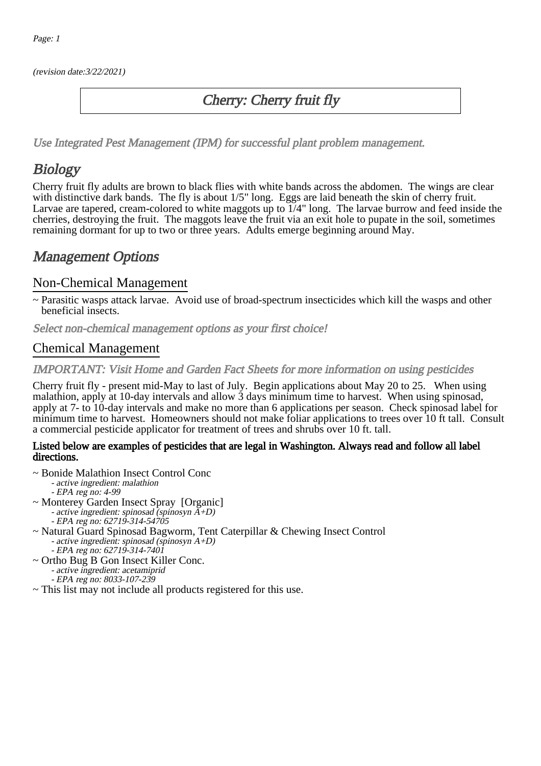(revision date:3/22/2021)

## Cherry: Cherry fruit fly

[Use Integrated Pest Management \(IPM\) for successful plant problem management.](http://pep.wsu.edu/Home_Garden/H_G_Pesticide_info/urban_Integrated_Pest_Managmen/)

## **Biology**

Cherry fruit fly adults are brown to black flies with white bands across the abdomen. The wings are clear with distinctive dark bands. The fly is about  $1/5$ " long. Eggs are laid beneath the skin of cherry fruit. Larvae are tapered, cream-colored to white maggots up to  $1/4$ " long. The larvae burrow and feed inside the cherries, destroying the fruit. The maggots leave the fruit via an exit hole to pupate in the soil, sometimes remaining dormant for up to two or three years. Adults emerge beginning around May.

## Management Options

### Non-Chemical Management

~ Parasitic wasps attack larvae. Avoid use of broad-spectrum insecticides which kill the wasps and other beneficial insects.

Select non-chemical management options as your first choice!

### Chemical Management

IMPORTANT: [Visit Home and Garden Fact Sheets for more information on using pesticides](http://pep.wsu.edu/Home_Garden/H_G_Pesticide_info/)

Cherry fruit fly - present mid-May to last of July. Begin applications about May 20 to 25. When using malathion, apply at 10-day intervals and allow 3 days minimum time to harvest. When using spinosad, apply at 7- to 10-day intervals and make no more than 6 applications per season. Check spinosad label for minimum time to harvest. Homeowners should not make foliar applications to trees over 10 ft tall. Consult a commercial pesticide applicator for treatment of trees and shrubs over 10 ft. tall.

#### Listed below are examples of pesticides that are legal in Washington. Always read and follow all label directions.

- ~ Bonide Malathion Insect Control Conc
	- active ingredient: malathion
	- EPA reg no: 4-99
- ~ Monterey Garden Insect Spray [Organic]
	- active ingredient: spinosad (spinosyn A+D)
	- EPA reg no: 62719-314-54705
- ~ Natural Guard Spinosad Bagworm, Tent Caterpillar & Chewing Insect Control -<br>active ingredient: spinosad (spinosyn A+D)
	- EPA reg no: 62719-314-7401
- ~ Ortho Bug B Gon Insect Killer Conc. - active ingredient: acetamiprid - EPA reg no: 8033-107-239
- ~ This list may not include all products registered for this use.